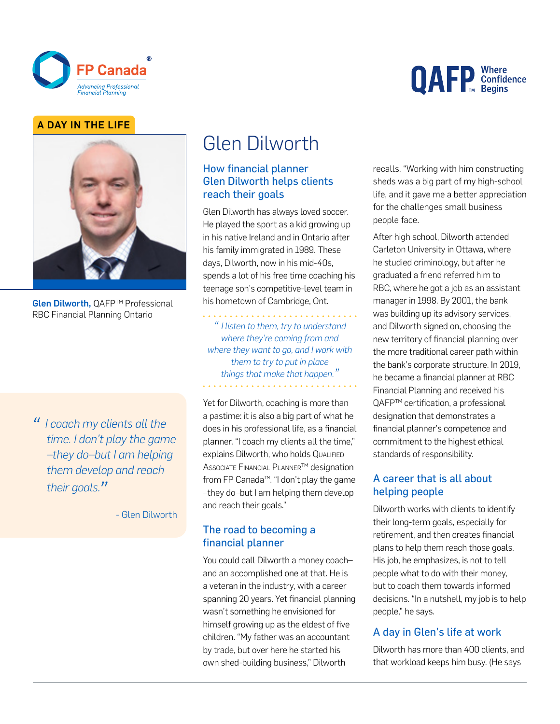

# **QAFP** Confidence

#### A DAY IN THE LIFE



Glen Dilworth, QAFP™ Professional RBC Financial Planning Ontario

*"I coach my clients all the time. I don't play the game –they do–but I am helping them develop and reach their goals."*

- Glen Dilworth

# Glen Dilworth

#### How financial planner Glen Dilworth helps clients reach their goals

Glen Dilworth has always loved soccer. He played the sport as a kid growing up in his native Ireland and in Ontario after his family immigrated in 1989. These days, Dilworth, now in his mid-40s, spends a lot of his free time coaching his teenage son's competitive-level team in his hometown of Cambridge, Ont.

*" I listen to them, try to understand where they're coming from and where they want to go, and I work with them to try to put in place things that make that happen. "*

Yet for Dilworth, coaching is more than a pastime: it is also a big part of what he does in his professional life, as a financial planner. "I coach my clients all the time," explains Dilworth, who holds Qualified **ASSOCIATE FINANCIAL PLANNER™ designation** from FP Canada™. "I don't play the game –they do–but I am helping them develop and reach their goals."

#### The road to becoming a financial planner

You could call Dilworth a money coach– and an accomplished one at that. He is a veteran in the industry, with a career spanning 20 years. Yet financial planning wasn't something he envisioned for himself growing up as the eldest of five children. "My father was an accountant by trade, but over here he started his own shed-building business," Dilworth

recalls. "Working with him constructing sheds was a big part of my high-school life, and it gave me a better appreciation for the challenges small business people face.

After high school, Dilworth attended Carleton University in Ottawa, where he studied criminology, but after he graduated a friend referred him to RBC, where he got a job as an assistant manager in 1998. By 2001, the bank was building up its advisory services, and Dilworth signed on, choosing the new territory of financial planning over the more traditional career path within the bank's corporate structure. In 2019, he became a financial planner at RBC Financial Planning and received his QAFP™ certification, a professional designation that demonstrates a financial planner's competence and commitment to the highest ethical standards of responsibility.

# A career that is all about helping people

Dilworth works with clients to identify their long-term goals, especially for retirement, and then creates financial plans to help them reach those goals. His job, he emphasizes, is not to tell people what to do with their money, but to coach them towards informed decisions. "In a nutshell, my job is to help people," he says.

#### A day in Glen's life at work

Dilworth has more than 400 clients, and that workload keeps him busy. (He says